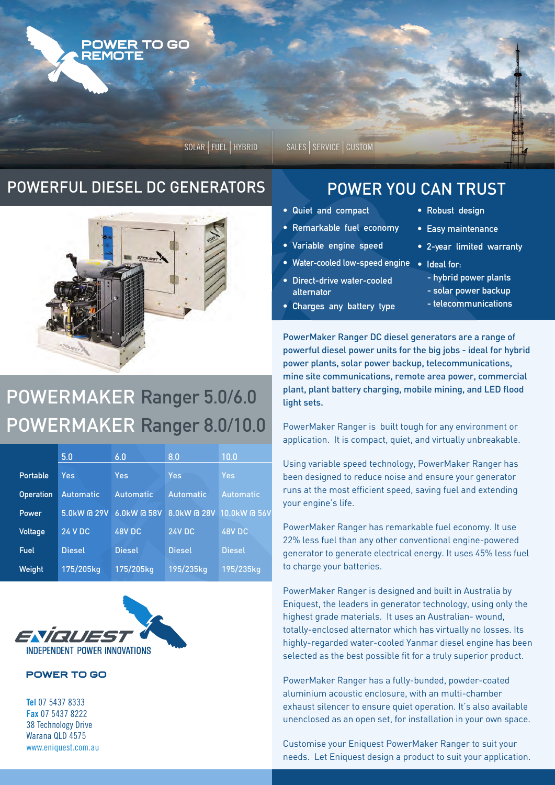

SOLAR | FUEL | HYBRID | SALES | SERVICE | CUSTOM

### POWERFUL DIESEL DC GENERATORS POWER YOU CAN TRUST



# POWERMAKER Ranger 5.0/6.0 POWERMAKER Ranger 8.0/10.0

|                  | 5.0              | 6.0              | 8.0              | 10.0                     |
|------------------|------------------|------------------|------------------|--------------------------|
|                  |                  |                  |                  |                          |
| Portable         | Yes              | Yes              | Yes              | Yes                      |
| <b>Operation</b> | <b>Automatic</b> | <b>Automatic</b> | <b>Automatic</b> | <b>Automatic</b>         |
| Power            | 5.0kW @ 29V      | 6.0kW @ 58V      |                  | 8.0kW @ 28V 10.0kW @ 56V |
| <b>Voltage</b>   | <b>24 V DC</b>   | 48V DC           | <b>24V DC</b>    | <b>48V DC</b>            |
| Fuel             | <b>Diesel</b>    | <b>Diesel</b>    | <b>Diesel</b>    | <b>Diesel</b>            |
| Weight           | 175/205kg        | 175/205kg        | 195/235kg        | 195/235kg                |



### **POWER TO GO**

**Tel** 07 5437 8333 **Fax** 07 5437 8222 38 Technology Drive Warana QLD 4575 www.eniquest.com.au

- Quiet and compact
- Remarkable fuel economy
- Variable engine speed l
- Water-cooled low-speed engine
- Direct-drive water-cooled alternator
- Charges any battery type
- Robust design
- Easy maintenance
- 2-year limited warranty
- Ideal for:
	- hybrid power plants
- solar power backup
- telecommunications

PowerMaker Ranger DC diesel generators are a range of powerful diesel power units for the big jobs - ideal for hybrid power plants, solar power backup, telecommunications, mine site communications, remote area power, commercial plant, plant battery charging, mobile mining, and LED flood light sets.

PowerMaker Ranger is built tough for any environment or application. It is compact, quiet, and virtually unbreakable.

Using variable speed technology, PowerMaker Ranger has been designed to reduce noise and ensure your generator runs at the most efficient speed, saving fuel and extending your engine's life.

PowerMaker Ranger has remarkable fuel economy. It use 22% less fuel than any other conventional engine-powered generator to generate electrical energy. It uses 45% less fuel to charge your batteries.

PowerMaker Ranger is designed and built in Australia by Eniquest, the leaders in generator technology, using only the highest grade materials. It uses an Australian- wound, totally-enclosed alternator which has virtually no losses. Its highly-regarded water-cooled Yanmar diesel engine has been selected as the best possible fit for a truly superior product.

PowerMaker Ranger has a fully-bunded, powder-coated aluminium acoustic enclosure, with an multi-chamber exhaust silencer to ensure quiet operation. It's also available unenclosed as an open set, for installation in your own space.

Customise your Eniquest PowerMaker Ranger to suit your needs. Let Eniquest design a product to suit your application.